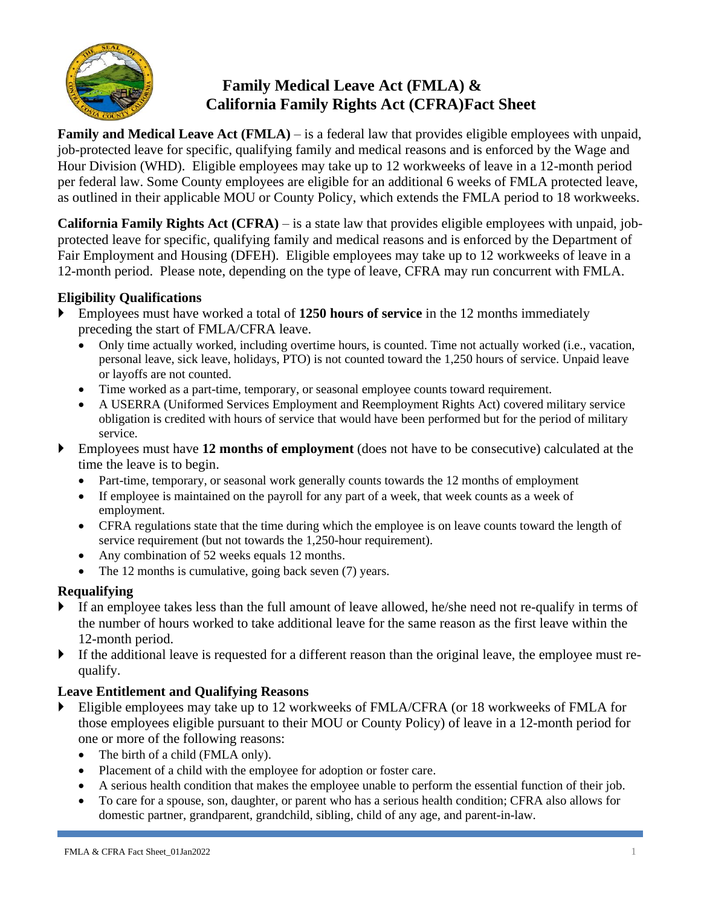

# **Family Medical Leave Act (FMLA) & California Family Rights Act (CFRA)Fact Sheet**

**Family and Medical Leave Act (FMLA)** – is a federal law that provides eligible employees with unpaid, job-protected leave for specific, qualifying family and medical reasons and is enforced by the Wage and Hour Division (WHD). Eligible employees may take up to 12 workweeks of leave in a 12-month period per federal law. Some County employees are eligible for an additional 6 weeks of FMLA protected leave, as outlined in their applicable MOU or County Policy, which extends the FMLA period to 18 workweeks.

**California Family Rights Act (CFRA)** – is a state law that provides eligible employees with unpaid, jobprotected leave for specific, qualifying family and medical reasons and is enforced by the Department of Fair Employment and Housing (DFEH). Eligible employees may take up to 12 workweeks of leave in a 12-month period. Please note, depending on the type of leave, CFRA may run concurrent with FMLA.

#### **Eligibility Qualifications**

- Employees must have worked a total of **1250 hours of service** in the 12 months immediately preceding the start of FMLA/CFRA leave.
	- Only time actually worked, including overtime hours, is counted. Time not actually worked (i.e., vacation, personal leave, sick leave, holidays, PTO) is not counted toward the 1,250 hours of service. Unpaid leave or layoffs are not counted.
	- Time worked as a part-time, temporary, or seasonal employee counts toward requirement.
	- A USERRA (Uniformed Services Employment and Reemployment Rights Act) covered military service obligation is credited with hours of service that would have been performed but for the period of military service.
- Employees must have **12 months of employment** (does not have to be consecutive) calculated at the time the leave is to begin.
	- Part-time, temporary, or seasonal work generally counts towards the 12 months of employment
	- If employee is maintained on the payroll for any part of a week, that week counts as a week of employment.
	- CFRA regulations state that the time during which the employee is on leave counts toward the length of service requirement (but not towards the 1,250-hour requirement).
	- Any combination of 52 weeks equals 12 months.
	- The 12 months is cumulative, going back seven (7) years.

### **Requalifying**

- If an employee takes less than the full amount of leave allowed, he/she need not re-qualify in terms of the number of hours worked to take additional leave for the same reason as the first leave within the 12-month period.
- If the additional leave is requested for a different reason than the original leave, the employee must requalify.

### **Leave Entitlement and Qualifying Reasons**

- Eligible employees may take up to 12 workweeks of FMLA/CFRA (or 18 workweeks of FMLA for those employees eligible pursuant to their MOU or County Policy) of leave in a 12-month period for one or more of the following reasons:
	- The birth of a child (FMLA only).
	- Placement of a child with the employee for adoption or foster care.
	- A serious health condition that makes the employee unable to perform the essential function of their job.
	- To care for a spouse, son, daughter, or parent who has a serious health condition; CFRA also allows for domestic partner, grandparent, grandchild, sibling, child of any age, and parent-in-law.